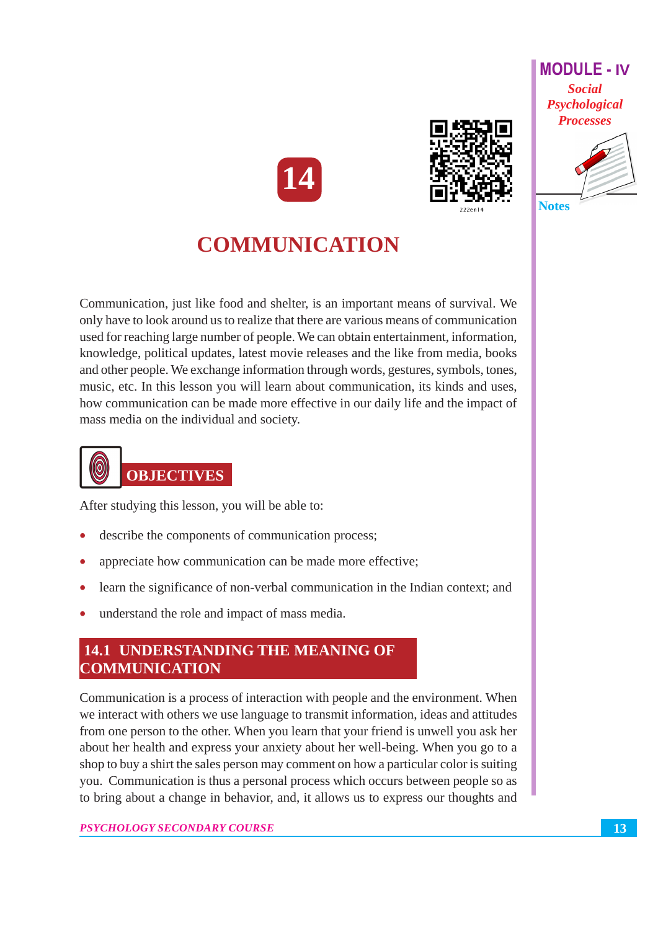





## **COMMUNICATION**

Communication, just like food and shelter, is an important means of survival. We only have to look around us to realize that there are various means of communication used for reaching large number of people. We can obtain entertainment, information, knowledge, political updates, latest movie releases and the like from media, books and other people. We exchange information through words, gestures, symbols, tones, music, etc. In this lesson you will learn about communication, its kinds and uses, how communication can be made more effective in our daily life and the impact of mass media on the individual and society.



After studying this lesson, you will be able to:

- describe the components of communication process;
- appreciate how communication can be made more effective;
- learn the significance of non-verbal communication in the Indian context; and
- understand the role and impact of mass media.

## **14.1 UNDERSTANDING THE MEANING OF COMMUNICATION**

Communication is a process of interaction with people and the environment. When we interact with others we use language to transmit information, ideas and attitudes from one person to the other. When you learn that your friend is unwell you ask her about her health and express your anxiety about her well-being. When you go to a shop to buy a shirt the sales person may comment on how a particular color is suiting you. Communication is thus a personal process which occurs between people so as to bring about a change in behavior, and, it allows us to express our thoughts and

#### PSYCHOLOGY SECONDARY COURSE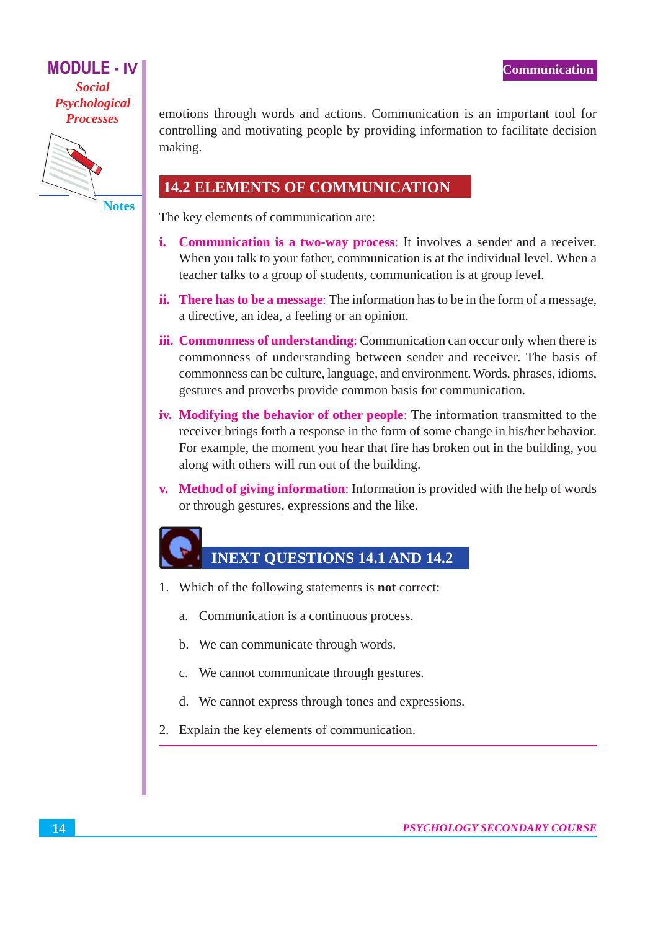

**Notes** 

emotions through words and actions. Communication is an important tool for controlling and motivating people by providing information to facilitate decision making.

## **14.2 ELEMENTS OF COMMUNICATION**

The key elements of communication are:

- i. Communication is a two-way process: It involves a sender and a receiver. When you talk to your father, communication is at the individual level. When a teacher talks to a group of students, communication is at group level.
- ii. There has to be a message: The information has to be in the form of a message, a directive, an idea, a feeling or an opinion.
- **iii. Commonness of understanding:** Communication can occur only when there is commonness of understanding between sender and receiver. The basis of commonness can be culture, language, and environment. Words, phrases, idioms, gestures and proverbs provide common basis for communication.
- iv. Modifying the behavior of other people: The information transmitted to the receiver brings forth a response in the form of some change in his/her behavior. For example, the moment you hear that fire has broken out in the building, you along with others will run out of the building.
- v. Method of giving information: Information is provided with the help of words or through gestures, expressions and the like.

## **INEXT QUESTIONS 14.1 AND 14.2**

- 1. Which of the following statements is **not** correct:
	- a. Communication is a continuous process.
	- b. We can communicate through words.
	- c. We cannot communicate through gestures.
	- d. We cannot express through tones and expressions.
- 2. Explain the key elements of communication.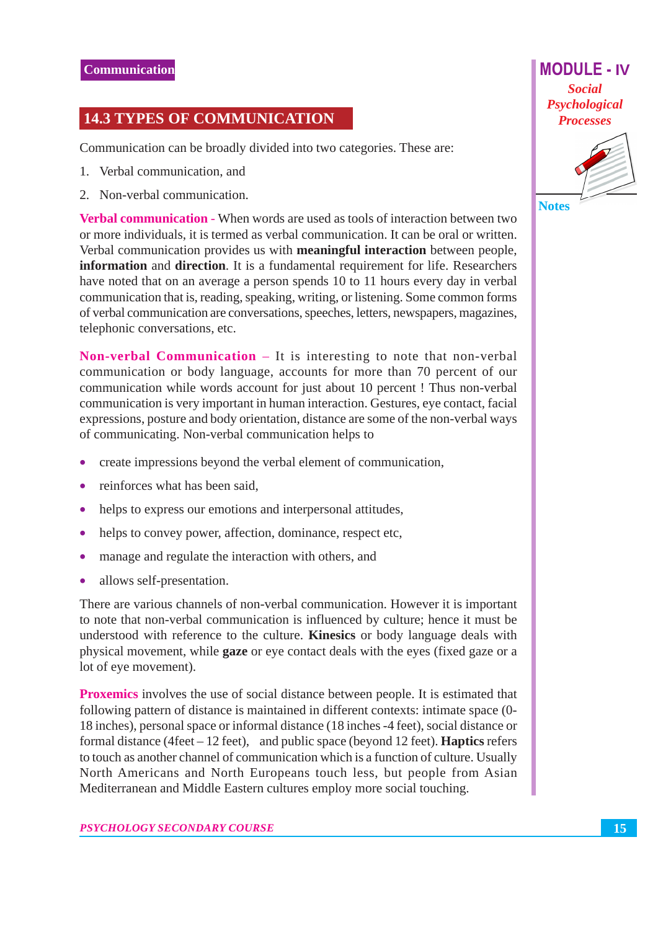## **14.3 TYPES OF COMMUNICATION**

Communication can be broadly divided into two categories. These are:

- 1. Verbal communication, and
- 2. Non-verbal communication.

**Verbal communication - When words are used as tools of interaction between two** or more individuals, it is termed as verbal communication. It can be oral or written. Verbal communication provides us with **meaningful interaction** between people, information and direction. It is a fundamental requirement for life. Researchers have noted that on an average a person spends 10 to 11 hours every day in verbal communication that is, reading, speaking, writing, or listening. Some common forms of verbal communication are conversations, speeches, letters, newspapers, magazines, telephonic conversations, etc.

**Non-verbal Communication**  $-$  It is interesting to note that non-verbal communication or body language, accounts for more than 70 percent of our communication while words account for just about 10 percent ! Thus non-verbal communication is very important in human interaction. Gestures, eye contact, facial expressions, posture and body orientation, distance are some of the non-verbal ways of communicating. Non-verbal communication helps to

- create impressions beyond the verbal element of communication,
- reinforces what has been said,
- helps to express our emotions and interpersonal attitudes,  $\bullet$
- $\bullet$ helps to convey power, affection, dominance, respect etc,
- manage and regulate the interaction with others, and  $\bullet$
- allows self-presentation.  $\bullet$

There are various channels of non-verbal communication. However it is important to note that non-verbal communication is influenced by culture; hence it must be understood with reference to the culture. Kinesics or body language deals with physical movement, while **gaze** or eye contact deals with the eyes (fixed gaze or a lot of eye movement).

**Proxemics** involves the use of social distance between people. It is estimated that following pattern of distance is maintained in different contexts: intimate space (0-18 inches), personal space or informal distance (18 inches -4 feet), social distance or formal distance (4 feet  $-12$  feet), and public space (beyond 12 feet). **Haptics** refers to touch as another channel of communication which is a function of culture. Usually North Americans and North Europeans touch less, but people from Asian Mediterranean and Middle Eastern cultures employ more social touching.



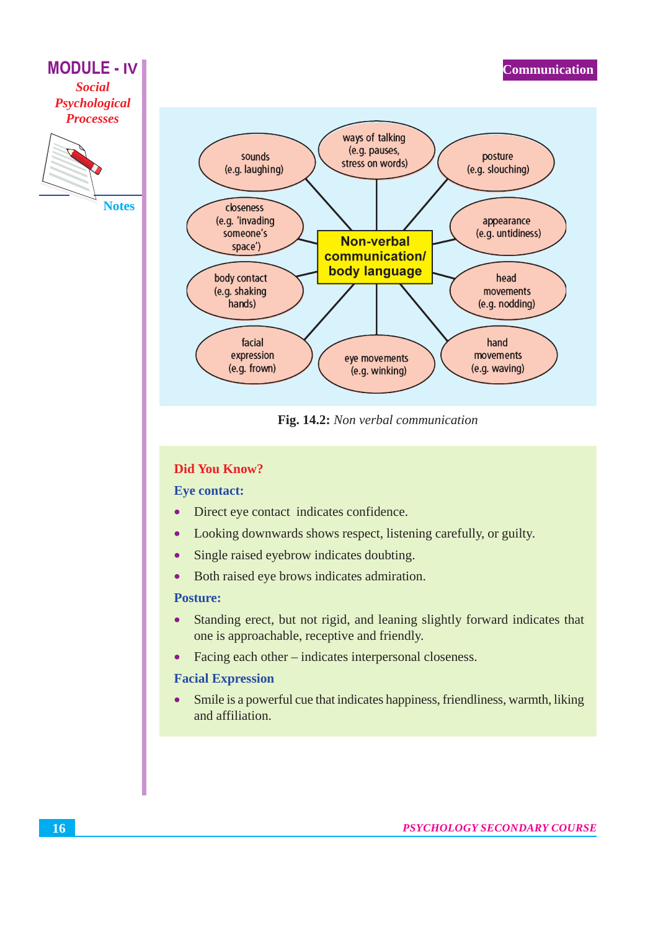

Fig. 14.2: Non verbal communication

#### **Did You Know?**

#### **Eye contact:**

- Direct eye contact indicates confidence.  $\bullet$
- Looking downwards shows respect, listening carefully, or guilty.  $\bullet$
- Single raised eyebrow indicates doubting.  $\bullet$
- Both raised eye brows indicates admiration.  $\bullet$

#### **Posture:**

- Standing erect, but not rigid, and leaning slightly forward indicates that  $\bullet$ one is approachable, receptive and friendly.
- Facing each other indicates interpersonal closeness.  $\bullet$

#### **Facial Expression**

Smile is a powerful cue that indicates happiness, friendliness, warmth, liking  $\bullet$ and affiliation.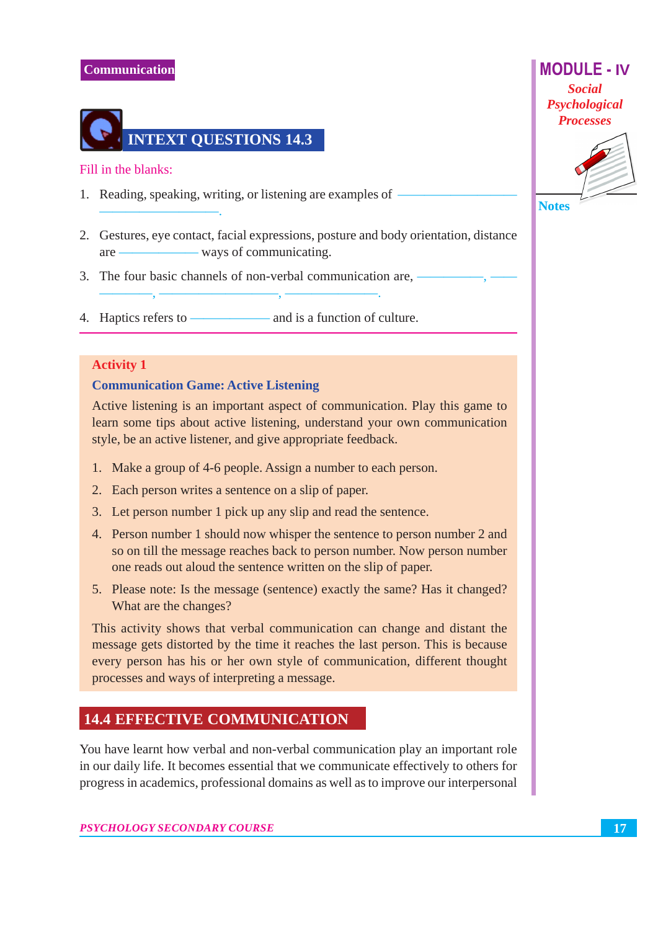## **Communication**



Fill in the blanks:

- 1. Reading, speaking, writing, or listening are examples of
- 2. Gestures, eye contact, facial expressions, posture and body orientation, distance
- 3. The four basic channels of non-verbal communication are, -
- 4. Haptics refers to  $-$ - and is a function of culture.

#### **Activity 1**

#### **Communication Game: Active Listening**

Active listening is an important aspect of communication. Play this game to learn some tips about active listening, understand your own communication style, be an active listener, and give appropriate feedback.

- 1. Make a group of 4-6 people. Assign a number to each person.
- 2. Each person writes a sentence on a slip of paper.
- 3. Let person number 1 pick up any slip and read the sentence.
- 4. Person number 1 should now whisper the sentence to person number 2 and so on till the message reaches back to person number. Now person number one reads out aloud the sentence written on the slip of paper.
- 5. Please note: Is the message (sentence) exactly the same? Has it changed? What are the changes?

This activity shows that verbal communication can change and distant the message gets distorted by the time it reaches the last person. This is because every person has his or her own style of communication, different thought processes and ways of interpreting a message.

## **14.4 EFFECTIVE COMMUNICATION**

You have learnt how verbal and non-verbal communication play an important role in our daily life. It becomes essential that we communicate effectively to others for progress in academics, professional domains as well as to improve our interpersonal





**Notes**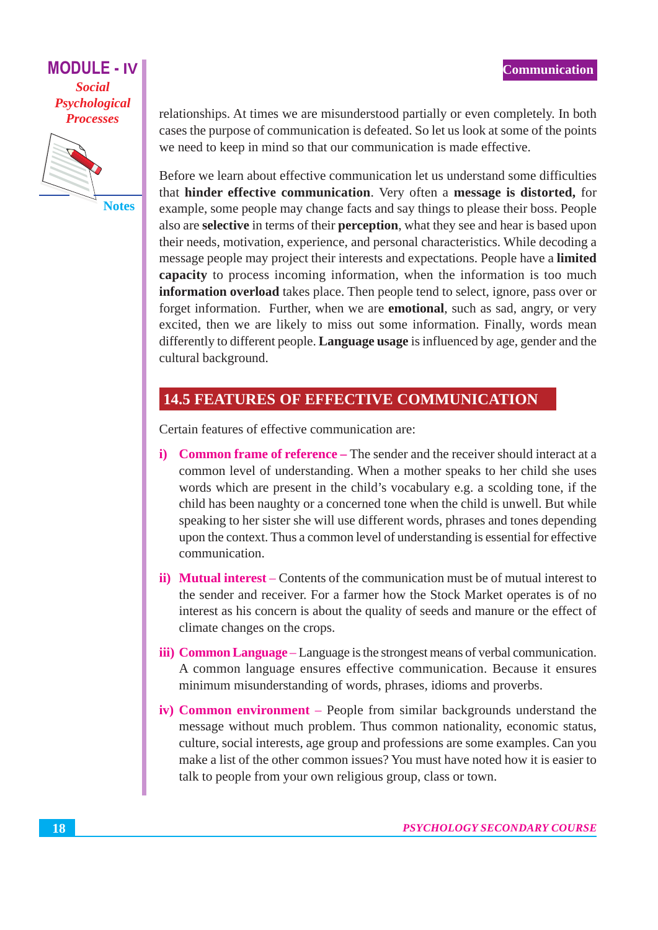

**Notes** 

relationships. At times we are misunderstood partially or even completely. In both cases the purpose of communication is defeated. So let us look at some of the points we need to keep in mind so that our communication is made effective.

Before we learn about effective communication let us understand some difficulties that hinder effective communication. Very often a message is distorted, for example, some people may change facts and say things to please their boss. People also are **selective** in terms of their **perception**, what they see and hear is based upon their needs, motivation, experience, and personal characteristics. While decoding a message people may project their interests and expectations. People have a limited **capacity** to process incoming information, when the information is too much information overload takes place. Then people tend to select, ignore, pass over or forget information. Further, when we are **emotional**, such as sad, angry, or very excited, then we are likely to miss out some information. Finally, words mean differently to different people. **Language usage** is influenced by age, gender and the cultural background.

## **14.5 FEATURES OF EFFECTIVE COMMUNICATION**

Certain features of effective communication are:

- **i)** Common frame of reference The sender and the receiver should interact at a common level of understanding. When a mother speaks to her child she uses words which are present in the child's vocabulary e.g. a scolding tone, if the child has been naughty or a concerned tone when the child is unwell. But while speaking to her sister she will use different words, phrases and tones depending upon the context. Thus a common level of understanding is essential for effective communication.
- **ii)** Mutual interest Contents of the communication must be of mutual interest to the sender and receiver. For a farmer how the Stock Market operates is of no interest as his concern is about the quality of seeds and manure or the effect of climate changes on the crops.
- iii) Common Language Language is the strongest means of verbal communication. A common language ensures effective communication. Because it ensures minimum misunderstanding of words, phrases, idioms and proverbs.
- iv) Common environment People from similar backgrounds understand the message without much problem. Thus common nationality, economic status, culture, social interests, age group and professions are some examples. Can you make a list of the other common issues? You must have noted how it is easier to talk to people from your own religious group, class or town.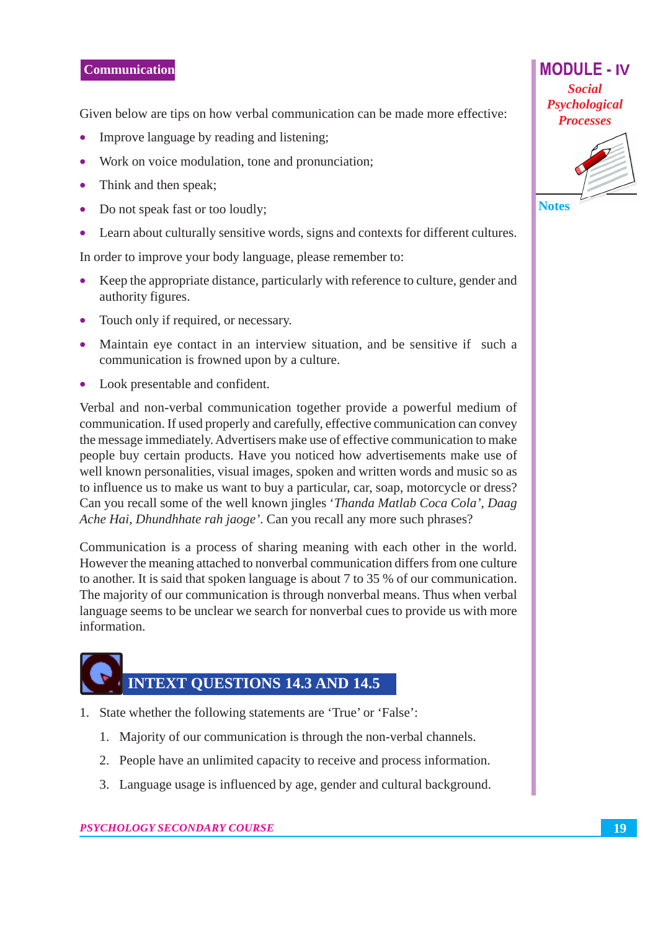#### **Communication**

Given below are tips on how verbal communication can be made more effective:

- $\bullet$ Improve language by reading and listening;
- Work on voice modulation, tone and pronunciation;
- $\bullet$ Think and then speak;
- Do not speak fast or too loudly;  $\bullet$
- Learn about culturally sensitive words, signs and contexts for different cultures.  $\bullet$

In order to improve your body language, please remember to:

- Keep the appropriate distance, particularly with reference to culture, gender and  $\bullet$ authority figures.
- Touch only if required, or necessary.
- Maintain eye contact in an interview situation, and be sensitive if such a  $\bullet$ communication is frowned upon by a culture.
- Look presentable and confident.

Verbal and non-verbal communication together provide a powerful medium of communication. If used properly and carefully, effective communication can convey the message immediately. Advertisers make use of effective communication to make people buy certain products. Have you noticed how advertisements make use of well known personalities, visual images, spoken and written words and music so as to influence us to make us want to buy a particular, car, soap, motorcycle or dress? Can you recall some of the well known jingles 'Thanda Matlab Coca Cola', Daag Ache Hai, Dhundhhate rah jaoge'. Can you recall any more such phrases?

Communication is a process of sharing meaning with each other in the world. However the meaning attached to nonverbal communication differs from one culture to another. It is said that spoken language is about 7 to 35 % of our communication. The majority of our communication is through nonverbal means. Thus when verbal language seems to be unclear we search for nonverbal cues to provide us with more information.

# **INTEXT QUESTIONS 14.3 AND 14.5**

- 1. State whether the following statements are 'True' or 'False':
	- 1. Majority of our communication is through the non-verbal channels.
	- 2. People have an unlimited capacity to receive and process information.
	- 3. Language usage is influenced by age, gender and cultural background.



**MODULE - IV** 

**Notes**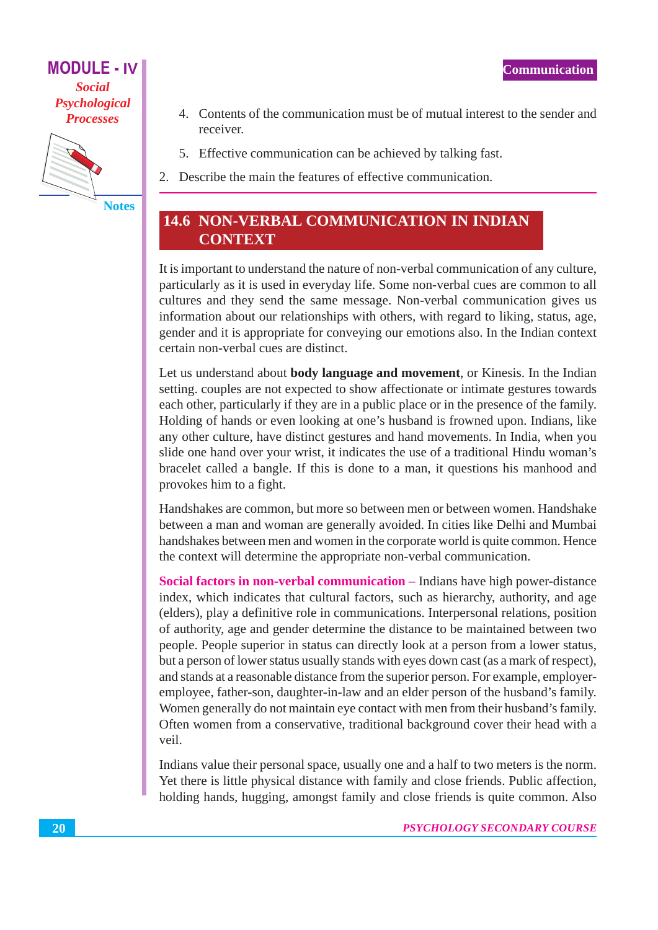

**Notes** 

- 4. Contents of the communication must be of mutual interest to the sender and receiver.
- 5. Effective communication can be achieved by talking fast.
- 2. Describe the main the features of effective communication.

## **14.6 NON-VERBAL COMMUNICATION IN INDIAN CONTEXT**

It is important to understand the nature of non-verbal communication of any culture, particularly as it is used in everyday life. Some non-verbal cues are common to all cultures and they send the same message. Non-verbal communication gives us information about our relationships with others, with regard to liking, status, age, gender and it is appropriate for conveying our emotions also. In the Indian context certain non-verbal cues are distinct.

Let us understand about **body language and movement**, or Kinesis. In the Indian setting. couples are not expected to show affectionate or intimate gestures towards each other, particularly if they are in a public place or in the presence of the family. Holding of hands or even looking at one's husband is frowned upon. Indians, like any other culture, have distinct gestures and hand movements. In India, when you slide one hand over your wrist, it indicates the use of a traditional Hindu woman's bracelet called a bangle. If this is done to a man, it questions his manhood and provokes him to a fight.

Handshakes are common, but more so between men or between women. Handshake between a man and woman are generally avoided. In cities like Delhi and Mumbai handshakes between men and women in the corporate world is quite common. Hence the context will determine the appropriate non-verbal communication.

Social factors in non-verbal communication – Indians have high power-distance index, which indicates that cultural factors, such as hierarchy, authority, and age (elders), play a definitive role in communications. Interpersonal relations, position of authority, age and gender determine the distance to be maintained between two people. People superior in status can directly look at a person from a lower status, but a person of lower status usually stands with eyes down cast (as a mark of respect), and stands at a reasonable distance from the superior person. For example, employeremployee, father-son, daughter-in-law and an elder person of the husband's family. Women generally do not maintain eye contact with men from their husband's family. Often women from a conservative, traditional background cover their head with a veil.

Indians value their personal space, usually one and a half to two meters is the norm. Yet there is little physical distance with family and close friends. Public affection, holding hands, hugging, amongst family and close friends is quite common. Also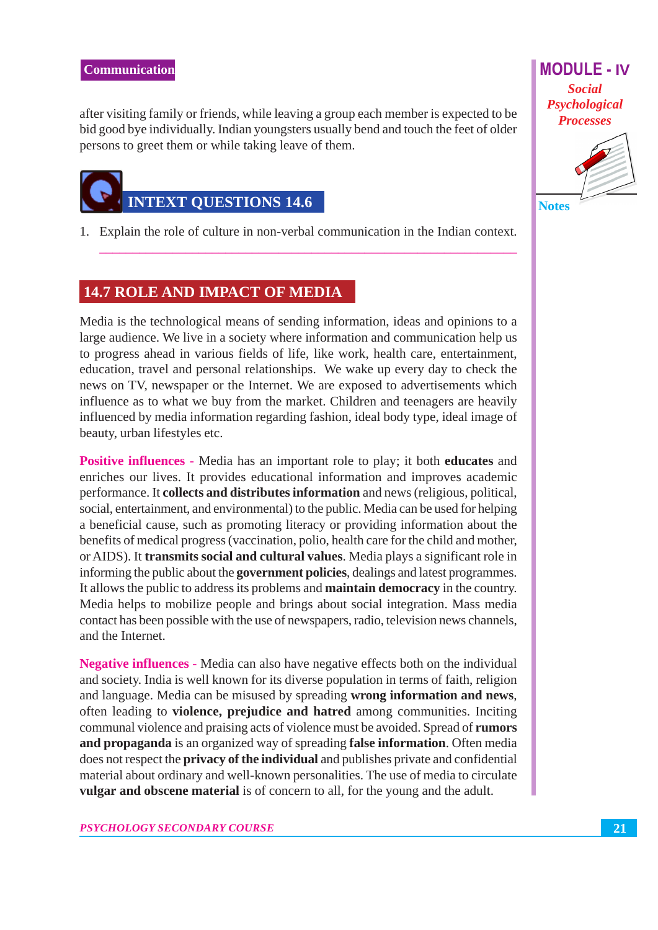after visiting family or friends, while leaving a group each member is expected to be bid good bye individually. Indian youngsters usually bend and touch the feet of older persons to greet them or while taking leave of them.



1. Explain the role of culture in non-verbal communication in the Indian context.

## **14.7 ROLE AND IMPACT OF MEDIA**

Media is the technological means of sending information, ideas and opinions to a large audience. We live in a society where information and communication help us to progress ahead in various fields of life, like work, health care, entertainment, education, travel and personal relationships. We wake up every day to check the news on TV, newspaper or the Internet. We are exposed to advertisements which influence as to what we buy from the market. Children and teenagers are heavily influenced by media information regarding fashion, ideal body type, ideal image of beauty, urban lifestyles etc.

**Positive influences** - Media has an important role to play; it both **educates** and enriches our lives. It provides educational information and improves academic performance. It collects and distributes information and news (religious, political, social, entertainment, and environmental) to the public. Media can be used for helping a beneficial cause, such as promoting literacy or providing information about the benefits of medical progress (vaccination, polio, health care for the child and mother, or AIDS). It transmits social and cultural values. Media plays a significant role in informing the public about the government policies, dealings and latest programmes. It allows the public to address its problems and **maintain democracy** in the country. Media helps to mobilize people and brings about social integration. Mass media contact has been possible with the use of newspapers, radio, television news channels, and the Internet.

Negative influences - Media can also have negative effects both on the individual and society. India is well known for its diverse population in terms of faith, religion and language. Media can be misused by spreading wrong information and news, often leading to **violence**, **prejudice and hatred** among communities. Inciting communal violence and praising acts of violence must be avoided. Spread of rumors and propaganda is an organized way of spreading false information. Often media does not respect the **privacy of the individual** and publishes private and confidential material about ordinary and well-known personalities. The use of media to circulate vulgar and obscene material is of concern to all, for the young and the adult.

**MODULE - IV Social** Psychological **Processes** 



21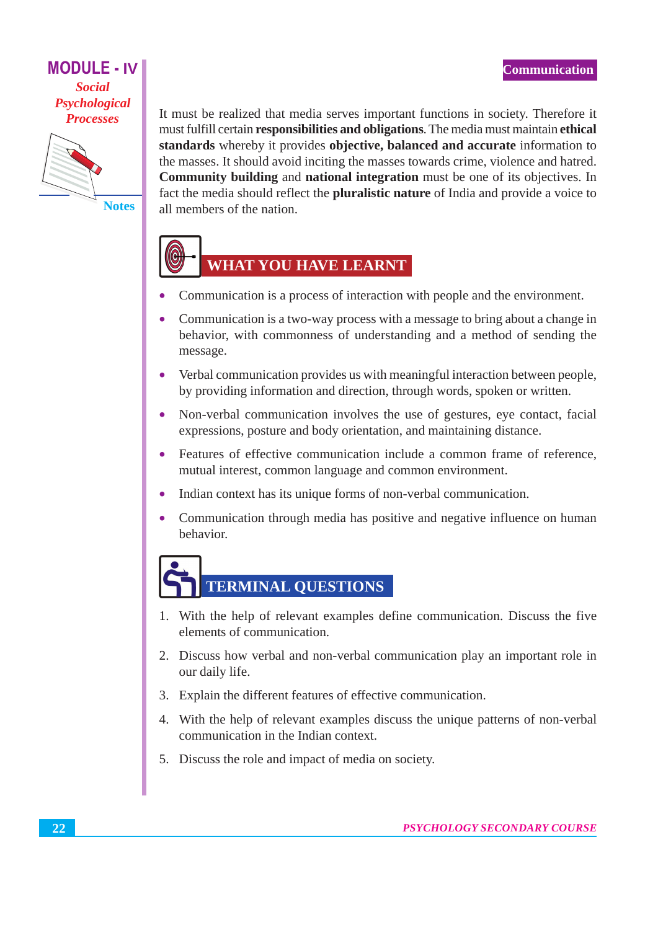

**Notes** 

It must be realized that media serves important functions in society. Therefore it must fulfill certain responsibilities and obligations. The media must maintain ethical standards whereby it provides objective, balanced and accurate information to the masses. It should avoid inciting the masses towards crime, violence and hatred. Community building and national integration must be one of its objectives. In fact the media should reflect the **pluralistic nature** of India and provide a voice to all members of the nation.

## WHAT YOU HAVE LEARNT

- Communication is a process of interaction with people and the environment.
- Communication is a two-way process with a message to bring about a change in  $\bullet$ behavior, with commonness of understanding and a method of sending the message.
- Verbal communication provides us with meaningful interaction between people, by providing information and direction, through words, spoken or written.
- Non-verbal communication involves the use of gestures, eye contact, facial expressions, posture and body orientation, and maintaining distance.
- Features of effective communication include a common frame of reference, mutual interest, common language and common environment.
- Indian context has its unique forms of non-verbal communication.  $\bullet$
- Communication through media has positive and negative influence on human  $\bullet$ behavior.

# **TERMINAL QUESTIONS**

- 1. With the help of relevant examples define communication. Discuss the five elements of communication.
- 2. Discuss how verbal and non-verbal communication play an important role in our daily life.
- 3. Explain the different features of effective communication.
- 4. With the help of relevant examples discuss the unique patterns of non-verbal communication in the Indian context.
- 5. Discuss the role and impact of media on society.